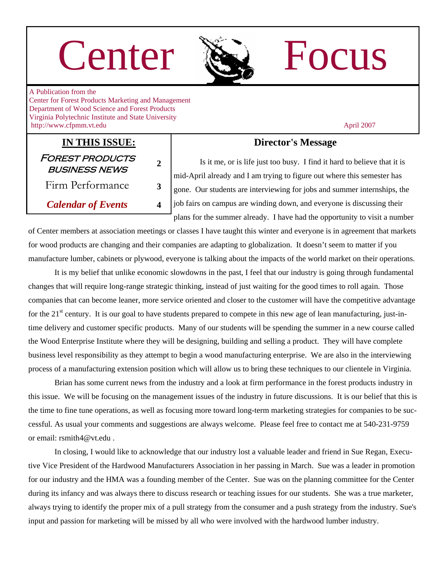# Center Re Focus



A Publication from the Center for Forest Products Marketing and Management Department of Wood Science and Forest Products Virginia Polytechnic Institute and State University http://www.cfpmm.vt.edu April 2007

### **IN THIS ISSUE:** Forest products business news **<sup>2</sup>** Firm Performance **3**

*Calendar of Events* **4** 

#### **Director's Message**

 Is it me, or is life just too busy. I find it hard to believe that it is mid-April already and I am trying to figure out where this semester has gone. Our students are interviewing for jobs and summer internships, the job fairs on campus are winding down, and everyone is discussing their plans for the summer already. I have had the opportunity to visit a number

of Center members at association meetings or classes I have taught this winter and everyone is in agreement that markets for wood products are changing and their companies are adapting to globalization. It doesn't seem to matter if you manufacture lumber, cabinets or plywood, everyone is talking about the impacts of the world market on their operations.

 It is my belief that unlike economic slowdowns in the past, I feel that our industry is going through fundamental changes that will require long-range strategic thinking, instead of just waiting for the good times to roll again. Those companies that can become leaner, more service oriented and closer to the customer will have the competitive advantage for the  $21<sup>st</sup>$  century. It is our goal to have students prepared to compete in this new age of lean manufacturing, just-intime delivery and customer specific products. Many of our students will be spending the summer in a new course called the Wood Enterprise Institute where they will be designing, building and selling a product. They will have complete business level responsibility as they attempt to begin a wood manufacturing enterprise. We are also in the interviewing process of a manufacturing extension position which will allow us to bring these techniques to our clientele in Virginia.

 Brian has some current news from the industry and a look at firm performance in the forest products industry in this issue. We will be focusing on the management issues of the industry in future discussions. It is our belief that this is the time to fine tune operations, as well as focusing more toward long-term marketing strategies for companies to be successful. As usual your comments and suggestions are always welcome. Please feel free to contact me at 540-231-9759 or email: rsmith4@vt.edu .

 In closing, I would like to acknowledge that our industry lost a valuable leader and friend in Sue Regan, Executive Vice President of the Hardwood Manufacturers Association in her passing in March. Sue was a leader in promotion for our industry and the HMA was a founding member of the Center. Sue was on the planning committee for the Center during its infancy and was always there to discuss research or teaching issues for our students. She was a true marketer, always trying to identify the proper mix of a pull strategy from the consumer and a push strategy from the industry. Sue's input and passion for marketing will be missed by all who were involved with the hardwood lumber industry.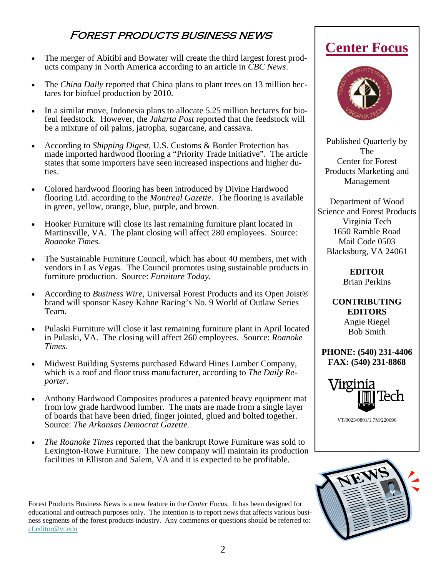#### Forest products business news

- The merger of Abitibi and Bowater will create the third largest forest products company in North America according to an article in *CBC News*.
- The *China Daily* reported that China plans to plant trees on 13 million hectares for biofuel production by 2010.
- In a similar move, Indonesia plans to allocate 5.25 million hectares for biofeul feedstock. However, the *Jakarta Post* reported that the feedstock will be a mixture of oil palms, jatropha, sugarcane, and cassava.
- According to *Shipping Digest*, U.S. Customs & Border Protection has made imported hardwood flooring a "Priority Trade Initiative". The article states that some importers have seen increased inspections and higher duties.
- Colored hardwood flooring has been introduced by Divine Hardwood flooring Ltd. according to the *Montreal Gazette*. The flooring is available in green, yellow, orange, blue, purple, and brown.
- Hooker Furniture will close its last remaining furniture plant located in Martinsville, VA. The plant closing will affect 280 employees. Source: *Roanoke Times.*
- The Sustainable Furniture Council, which has about 40 members, met with vendors in Las Vegas. The Council promotes using sustainable products in furniture production. Source: *Furniture Today.*
- According to *Business Wire*, Universal Forest Products and its Open Joist<sup>®</sup> brand will sponsor Kasey Kahne Racing's No. 9 World of Outlaw Series Team.
- Pulaski Furniture will close it last remaining furniture plant in April located in Pulaski, VA. The closing will affect 260 employees. Source: *Roanoke Times.*
- Midwest Building Systems purchased Edward Hines Lumber Company, which is a roof and floor truss manufacturer, according to *The Daily Reporter.*
- Anthony Hardwood Composites produces a patented heavy equipment mat from low grade hardwood lumber. The mats are made from a single layer of boards that have been dried, finger jointed, glued and bolted together. Source: *The Arkansas Democrat Gazette.*
- *The Roanoke Times* reported that the bankrupt Rowe Furniture was sold to Lexington-Rowe Furniture. The new company will maintain its production facilities in Elliston and Salem, VA and it is expected to be profitable.

Forest Products Business News is a new feature in the *Center Focus.* It has been designed for educational and outreach purposes only. The intention is to report news that affects various business segments of the forest products industry. Any comments or questions should be referred to: cf.editor@vt.edu

# **Center Focus**



Published Quarterly by The Center for Forest Products Marketing and Management

Department of Wood Science and Forest Products Virginia Tech 1650 Ramble Road Mail Code 0503 Blacksburg, VA 24061

> **EDITOR**  Brian Perkins

**CONTRIBUTING EDITORS**  Angie Riegel Bob Smith

**PHONE: (540) 231-4406 FAX: (540) 231-8868** 



VT/0023/0801/1.7M/220696

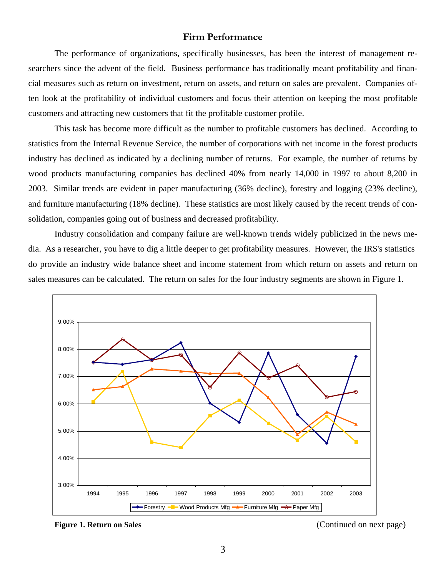#### **Firm Performance**

 The performance of organizations, specifically businesses, has been the interest of management researchers since the advent of the field. Business performance has traditionally meant profitability and financial measures such as return on investment, return on assets, and return on sales are prevalent. Companies often look at the profitability of individual customers and focus their attention on keeping the most profitable customers and attracting new customers that fit the profitable customer profile.

 This task has become more difficult as the number to profitable customers has declined. According to statistics from the Internal Revenue Service, the number of corporations with net income in the forest products industry has declined as indicated by a declining number of returns. For example, the number of returns by wood products manufacturing companies has declined 40% from nearly 14,000 in 1997 to about 8,200 in 2003. Similar trends are evident in paper manufacturing (36% decline), forestry and logging (23% decline), and furniture manufacturing (18% decline). These statistics are most likely caused by the recent trends of consolidation, companies going out of business and decreased profitability.

 Industry consolidation and company failure are well-known trends widely publicized in the news media. As a researcher, you have to dig a little deeper to get profitability measures. However, the IRS's statistics do provide an industry wide balance sheet and income statement from which return on assets and return on sales measures can be calculated. The return on sales for the four industry segments are shown in Figure 1.



**Figure 1. Return on Sales Continued on next page) (Continued on next page)**